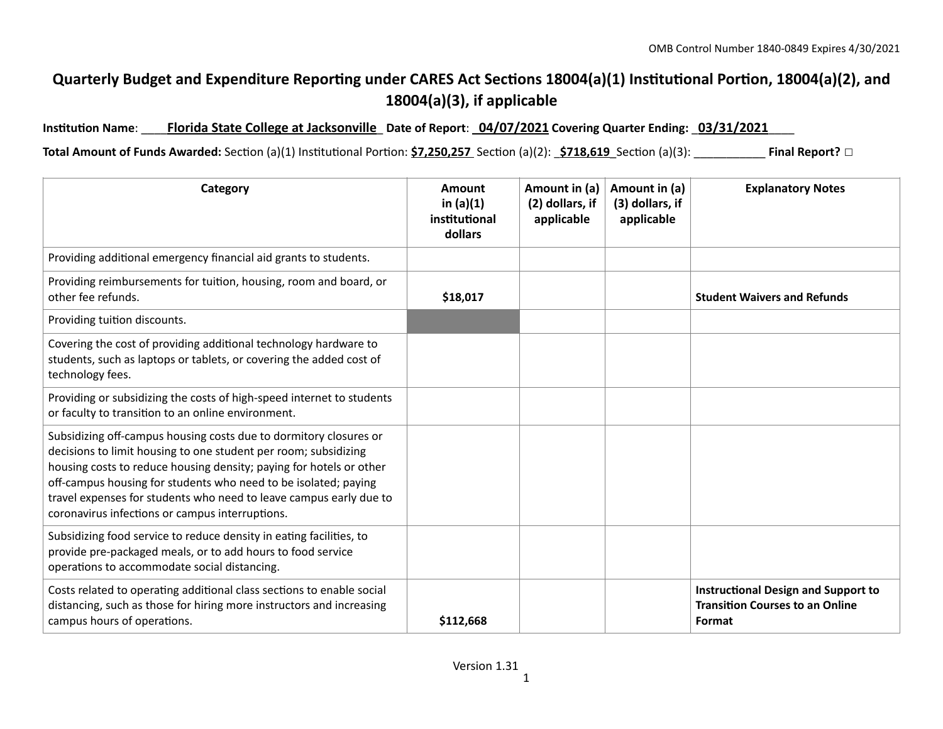## **Quarterly Budget and Expenditure Reporting under CARES Act Sections 18004(a)(1) Institutional Portion, 18004(a)(2), and 18004(a)(3), if applicable**

**Institution Name**: \_\_\_\_**Florida State College at Jacksonville**\_ **Date of Report**: \_**04/07/2021 Covering Quarter Ending:** \_**03/31/2021**\_\_\_\_

**Total Amount of Funds Awarded:** Section (a)(1) Institutional Portion: **\$7,250,257** Section (a)(2): **\_\$718,619** Section (a)(3): \_\_\_\_\_\_\_\_\_\_\_\_\_ **Final Report?** □

| Category                                                                                                                                                                                                                                                                                                                                                                                                | Amount<br>in $(a)(1)$<br>institutional<br>dollars | Amount in (a)<br>(2) dollars, if<br>applicable | Amount in (a)<br>(3) dollars, if<br>applicable | <b>Explanatory Notes</b>                                                                       |
|---------------------------------------------------------------------------------------------------------------------------------------------------------------------------------------------------------------------------------------------------------------------------------------------------------------------------------------------------------------------------------------------------------|---------------------------------------------------|------------------------------------------------|------------------------------------------------|------------------------------------------------------------------------------------------------|
| Providing additional emergency financial aid grants to students.                                                                                                                                                                                                                                                                                                                                        |                                                   |                                                |                                                |                                                                                                |
| Providing reimbursements for tuition, housing, room and board, or<br>other fee refunds.                                                                                                                                                                                                                                                                                                                 | \$18,017                                          |                                                |                                                | <b>Student Waivers and Refunds</b>                                                             |
| Providing tuition discounts.                                                                                                                                                                                                                                                                                                                                                                            |                                                   |                                                |                                                |                                                                                                |
| Covering the cost of providing additional technology hardware to<br>students, such as laptops or tablets, or covering the added cost of<br>technology fees.                                                                                                                                                                                                                                             |                                                   |                                                |                                                |                                                                                                |
| Providing or subsidizing the costs of high-speed internet to students<br>or faculty to transition to an online environment.                                                                                                                                                                                                                                                                             |                                                   |                                                |                                                |                                                                                                |
| Subsidizing off-campus housing costs due to dormitory closures or<br>decisions to limit housing to one student per room; subsidizing<br>housing costs to reduce housing density; paying for hotels or other<br>off-campus housing for students who need to be isolated; paying<br>travel expenses for students who need to leave campus early due to<br>coronavirus infections or campus interruptions. |                                                   |                                                |                                                |                                                                                                |
| Subsidizing food service to reduce density in eating facilities, to<br>provide pre-packaged meals, or to add hours to food service<br>operations to accommodate social distancing.                                                                                                                                                                                                                      |                                                   |                                                |                                                |                                                                                                |
| Costs related to operating additional class sections to enable social<br>distancing, such as those for hiring more instructors and increasing<br>campus hours of operations.                                                                                                                                                                                                                            | \$112,668                                         |                                                |                                                | <b>Instructional Design and Support to</b><br><b>Transition Courses to an Online</b><br>Format |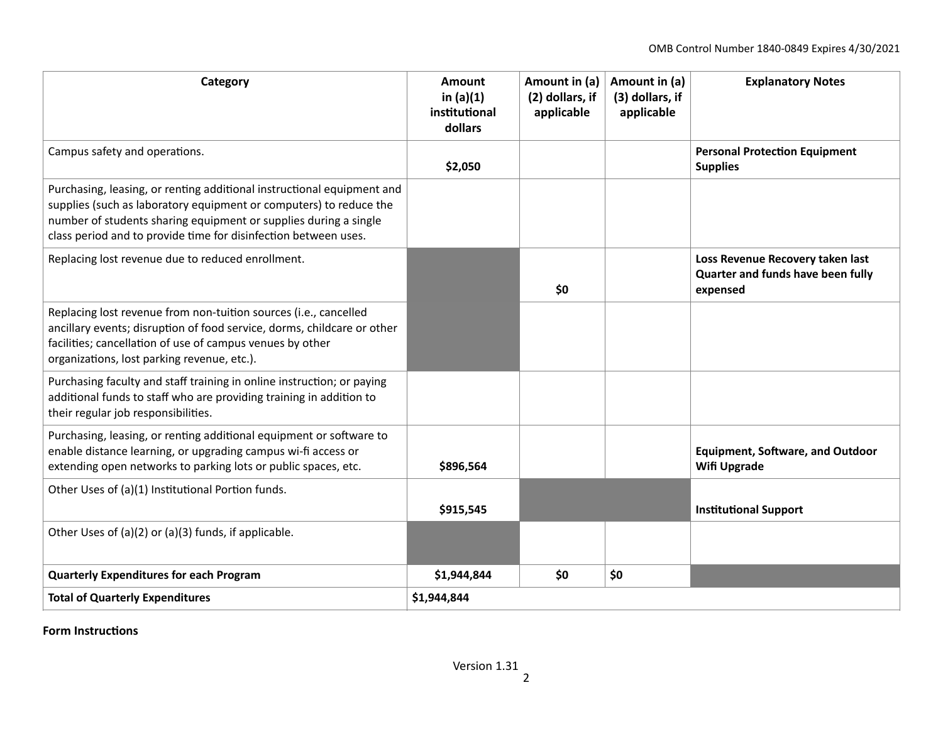| Category                                                                                                                                                                                                                                                                            | Amount<br>in $(a)(1)$<br>institutional<br>dollars | Amount in (a)<br>(2) dollars, if<br>applicable | Amount in (a)<br>(3) dollars, if<br>applicable | <b>Explanatory Notes</b>                                                          |  |
|-------------------------------------------------------------------------------------------------------------------------------------------------------------------------------------------------------------------------------------------------------------------------------------|---------------------------------------------------|------------------------------------------------|------------------------------------------------|-----------------------------------------------------------------------------------|--|
| Campus safety and operations.                                                                                                                                                                                                                                                       | \$2,050                                           |                                                |                                                | <b>Personal Protection Equipment</b><br><b>Supplies</b>                           |  |
| Purchasing, leasing, or renting additional instructional equipment and<br>supplies (such as laboratory equipment or computers) to reduce the<br>number of students sharing equipment or supplies during a single<br>class period and to provide time for disinfection between uses. |                                                   |                                                |                                                |                                                                                   |  |
| Replacing lost revenue due to reduced enrollment.                                                                                                                                                                                                                                   |                                                   | \$0                                            |                                                | Loss Revenue Recovery taken last<br>Quarter and funds have been fully<br>expensed |  |
| Replacing lost revenue from non-tuition sources (i.e., cancelled<br>ancillary events; disruption of food service, dorms, childcare or other<br>facilities; cancellation of use of campus venues by other<br>organizations, lost parking revenue, etc.).                             |                                                   |                                                |                                                |                                                                                   |  |
| Purchasing faculty and staff training in online instruction; or paying<br>additional funds to staff who are providing training in addition to<br>their regular job responsibilities.                                                                                                |                                                   |                                                |                                                |                                                                                   |  |
| Purchasing, leasing, or renting additional equipment or software to<br>enable distance learning, or upgrading campus wi-fi access or<br>extending open networks to parking lots or public spaces, etc.                                                                              | \$896,564                                         |                                                |                                                | <b>Equipment, Software, and Outdoor</b><br><b>Wifi Upgrade</b>                    |  |
| Other Uses of (a)(1) Institutional Portion funds.                                                                                                                                                                                                                                   | \$915,545                                         |                                                |                                                | <b>Institutional Support</b>                                                      |  |
| Other Uses of (a)(2) or (a)(3) funds, if applicable.                                                                                                                                                                                                                                |                                                   |                                                |                                                |                                                                                   |  |
| <b>Quarterly Expenditures for each Program</b>                                                                                                                                                                                                                                      | \$1,944,844                                       | \$0                                            | \$0                                            |                                                                                   |  |
| <b>Total of Quarterly Expenditures</b>                                                                                                                                                                                                                                              | \$1,944,844                                       |                                                |                                                |                                                                                   |  |

**Form Instructions**